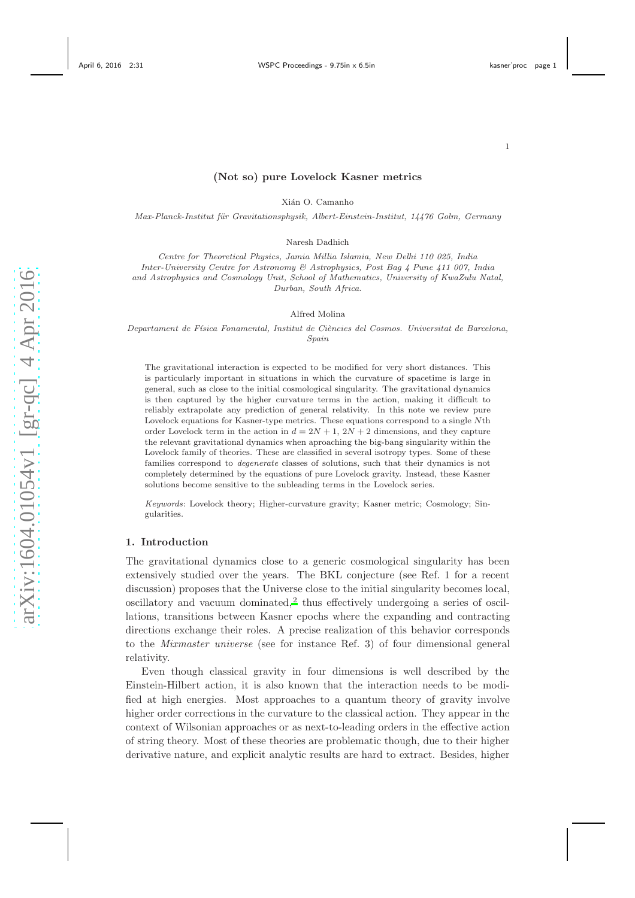# (Not so) pure Lovelock Kasner metrics

Xián O. Camanho

Max-Planck-Institut für Gravitationsphysik, Albert-Einstein-Institut, 14476 Golm, Germany

Naresh Dadhich

Centre for Theoretical Physics, Jamia Millia Islamia, New Delhi 110 025, India Inter-University Centre for Astronomy & Astrophysics, Post Bag 4 Pune 411 007, India and Astrophysics and Cosmology Unit, School of Mathematics, University of KwaZulu Natal, Durban, South Africa.

Alfred Molina

Departament de Física Fonamental, Institut de Ciències del Cosmos. Universitat de Barcelona, Spain

The gravitational interaction is expected to be modified for very short distances. This is particularly important in situations in which the curvature of spacetime is large in general, such as close to the initial cosmological singularity. The gravitational dynamics is then captured by the higher curvature terms in the action, making it difficult to reliably extrapolate any prediction of general relativity. In this note we review pure Lovelock equations for Kasner-type metrics. These equations correspond to a single Nth order Lovelock term in the action in  $d = 2N + 1$ ,  $2N + 2$  dimensions, and they capture the relevant gravitational dynamics when aproaching the big-bang singularity within the Lovelock family of theories. These are classified in several isotropy types. Some of these families correspond to degenerate classes of solutions, such that their dynamics is not completely determined by the equations of pure Lovelock gravity. Instead, these Kasner solutions become sensitive to the subleading terms in the Lovelock series.

Keywords: Lovelock theory; Higher-curvature gravity; Kasner metric; Cosmology; Singularities.

## 1. Introduction

The gravitational dynamics close to a generic cosmological singularity has been extensively studied over the years. The BKL conjecture (see Ref. 1 for a recent discussion) proposes that the Universe close to the initial singularity becomes local,  $\alpha$ oscillatory and vacuum dominated,<sup>[2](#page-8-0)</sup> thus effectively undergoing a series of oscillations, transitions between Kasner epochs where the expanding and contracting directions exchange their roles. A precise realization of this behavior corresponds to the Mixmaster universe (see for instance Ref. 3) of four dimensional general relativity.

Even though classical gravity in four dimensions is well described by the Einstein-Hilbert action, it is also known that the interaction needs to be modified at high energies. Most approaches to a quantum theory of gravity involve higher order corrections in the curvature to the classical action. They appear in the context of Wilsonian approaches or as next-to-leading orders in the effective action of string theory. Most of these theories are problematic though, due to their higher derivative nature, and explicit analytic results are hard to extract. Besides, higher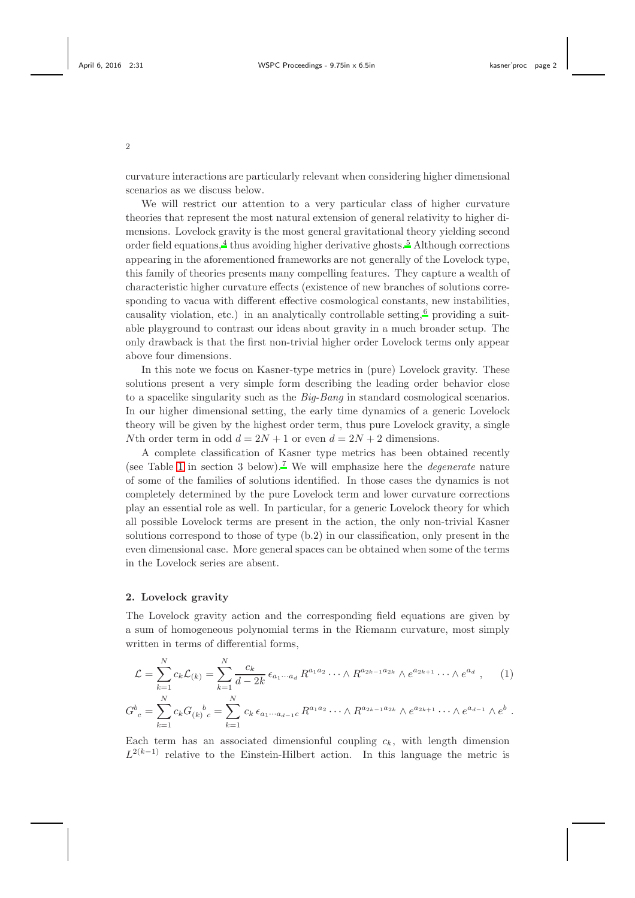curvature interactions are particularly relevant when considering higher dimensional scenarios as we discuss below.

We will restrict our attention to a very particular class of higher curvature theories that represent the most natural extension of general relativity to higher dimensions. Lovelock gravity is the most general gravitational theory yielding second order field equations,<sup>[4](#page-8-1)</sup> thus avoiding higher derivative ghosts.<sup>[5](#page-8-2)</sup> Although corrections appearing in the aforementioned frameworks are not generally of the Lovelock type, this family of theories presents many compelling features. They capture a wealth of characteristic higher curvature effects (existence of new branches of solutions corresponding to vacua with different effective cosmological constants, new instabilities, causality violation, etc.) in an analytically controllable setting,  $6$  providing a suitable playground to contrast our ideas about gravity in a much broader setup. The only drawback is that the first non-trivial higher order Lovelock terms only appear above four dimensions.

In this note we focus on Kasner-type metrics in (pure) Lovelock gravity. These solutions present a very simple form describing the leading order behavior close to a spacelike singularity such as the Big-Bang in standard cosmological scenarios. In our higher dimensional setting, the early time dynamics of a generic Lovelock theory will be given by the highest order term, thus pure Lovelock gravity, a single Nth order term in odd  $d = 2N + 1$  or even  $d = 2N + 2$  dimensions.

A complete classification of Kasner type metrics has been obtained recently (see Table [1](#page-3-0) in section 3 below).<sup>[7](#page-8-4)</sup> We will emphasize here the *degenerate* nature of some of the families of solutions identified. In those cases the dynamics is not completely determined by the pure Lovelock term and lower curvature corrections play an essential role as well. In particular, for a generic Lovelock theory for which all possible Lovelock terms are present in the action, the only non-trivial Kasner solutions correspond to those of type (b.2) in our classification, only present in the even dimensional case. More general spaces can be obtained when some of the terms in the Lovelock series are absent.

## 2. Lovelock gravity

The Lovelock gravity action and the corresponding field equations are given by a sum of homogeneous polynomial terms in the Riemann curvature, most simply written in terms of differential forms,

$$
\mathcal{L} = \sum_{k=1}^{N} c_k \mathcal{L}_{(k)} = \sum_{k=1}^{N} \frac{c_k}{d - 2k} \epsilon_{a_1 \cdots a_d} R^{a_1 a_2} \cdots \wedge R^{a_{2k-1} a_{2k}} \wedge e^{a_{2k+1}} \cdots \wedge e^{a_d}, \qquad (1)
$$

$$
G^b{}_c = \sum_{k=1}^{\infty} c_k G_{(k)}{}^b{}_c = \sum_{k=1}^{\infty} c_k \epsilon_{a_1 \cdots a_{d-1} c} R^{a_1 a_2} \cdots \wedge R^{a_{2k-1} a_{2k}} \wedge e^{a_{2k+1}} \cdots \wedge e^{a_{d-1}} \wedge e^b.
$$

Each term has an associated dimensionful coupling  $c_k$ , with length dimension  $L^{2(k-1)}$  relative to the Einstein-Hilbert action. In this language the metric is

2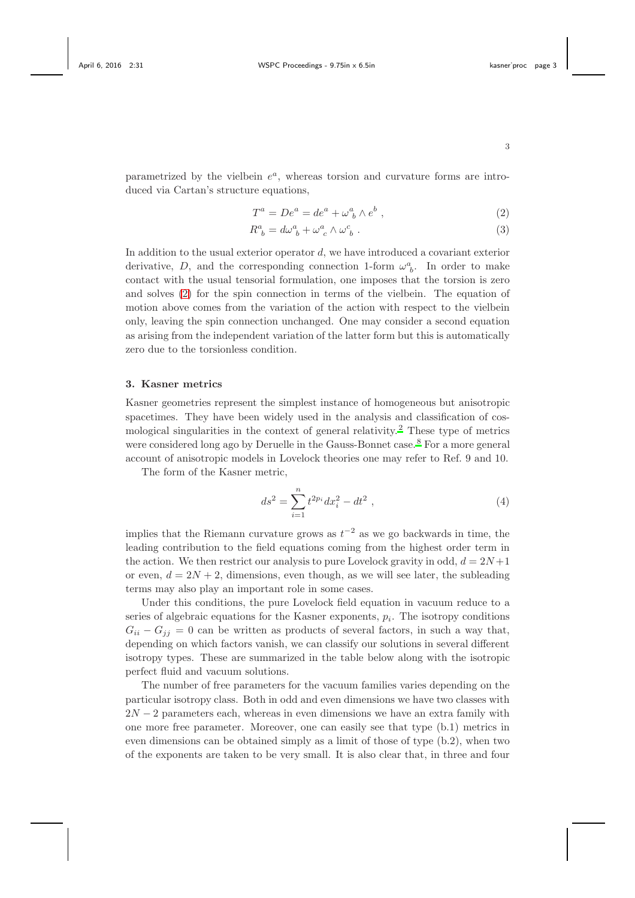parametrized by the vielbein  $e^a$ , whereas torsion and curvature forms are intro-

<span id="page-2-0"></span>
$$
T^a = De^a = de^a + \omega^a_{\ b} \wedge e^b \ , \tag{2}
$$

$$
R^a_{\ b} = d\omega^a_{\ b} + \omega^a_{\ c} \wedge \omega^c_{\ b} \ . \tag{3}
$$

In addition to the usual exterior operator d, we have introduced a covariant exterior derivative, D, and the corresponding connection 1-form  $\omega_b^a$ . In order to make contact with the usual tensorial formulation, one imposes that the torsion is zero and solves [\(2\)](#page-2-0) for the spin connection in terms of the vielbein. The equation of motion above comes from the variation of the action with respect to the vielbein only, leaving the spin connection unchanged. One may consider a second equation as arising from the independent variation of the latter form but this is automatically zero due to the torsionless condition.

## 3. Kasner metrics

Kasner geometries represent the simplest instance of homogeneous but anisotropic spacetimes. They have been widely used in the analysis and classification of cos-mological singularities in the context of general relativity.<sup>[2](#page-8-0)</sup> These type of metrics were considered long ago by Deruelle in the Gauss-Bonnet case.<sup>[8](#page-8-5)</sup> For a more general account of anisotropic models in Lovelock theories one may refer to Ref. 9 and 10.

The form of the Kasner metric,

duced via Cartan's structure equations,

$$
ds^2 = \sum_{i=1}^n t^{2p_i} dx_i^2 - dt^2 , \qquad (4)
$$

implies that the Riemann curvature grows as  $t^{-2}$  as we go backwards in time, the leading contribution to the field equations coming from the highest order term in the action. We then restrict our analysis to pure Lovelock gravity in odd,  $d = 2N+1$ or even,  $d = 2N + 2$ , dimensions, even though, as we will see later, the subleading terms may also play an important role in some cases.

Under this conditions, the pure Lovelock field equation in vacuum reduce to a series of algebraic equations for the Kasner exponents,  $p_i$ . The isotropy conditions  $G_{ii} - G_{jj} = 0$  can be written as products of several factors, in such a way that, depending on which factors vanish, we can classify our solutions in several different isotropy types. These are summarized in the table below along with the isotropic perfect fluid and vacuum solutions.

The number of free parameters for the vacuum families varies depending on the particular isotropy class. Both in odd and even dimensions we have two classes with  $2N-2$  parameters each, whereas in even dimensions we have an extra family with one more free parameter. Moreover, one can easily see that type (b.1) metrics in even dimensions can be obtained simply as a limit of those of type (b.2), when two of the exponents are taken to be very small. It is also clear that, in three and four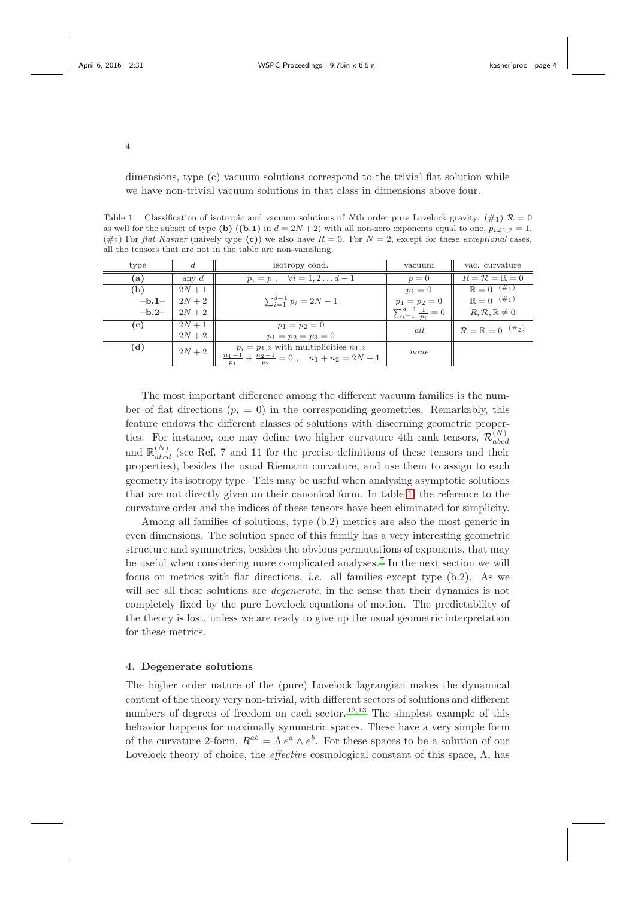dimensions, type (c) vacuum solutions correspond to the trivial flat solution while we have non-trivial vacuum solutions in that class in dimensions above four.

<span id="page-3-0"></span>Table 1. Classification of isotropic and vacuum solutions of Nth order pure Lovelock gravity.  $(\#_1) \mathcal{R} = 0$ as well for the subset of type (b)  $((b.1)$  in  $d = 2N + 2)$  with all non-zero exponents equal to one,  $p_{i \neq 1,2} = 1$ .  $(\#_2)$  For flat Kasner (naively type (c)) we also have  $R = 0$ . For  $N = 2$ , except for these exceptional cases, all the tensors that are not in the table are non-vanishing.

| type    | d        | isotropy cond.                                                                                                                                                  | vacuum                               | vac. curvature                          |
|---------|----------|-----------------------------------------------------------------------------------------------------------------------------------------------------------------|--------------------------------------|-----------------------------------------|
| (a)     | any $d$  | $\forall i=1,2\ldots d-1$<br>$p_i = p$ ,                                                                                                                        | $p=0$                                | $R = \mathcal{R} = \mathbb{R} = 0$      |
| (b)     | $2N + 1$ |                                                                                                                                                                 | $p_1 = 0$                            | $\mathbb{R} = 0^{-(\#_1)}$              |
| $-b.1-$ | $2N+2$   | $\sum_{i=1}^{d-1} p_i = 2N-1$                                                                                                                                   | $p_1 = p_2 = 0$                      | $\mathbb{R} = 0^{-(\#_1)}$              |
| $-b.2-$ | $2N+2$   |                                                                                                                                                                 | $\sum_{i=1}^{d-1} \frac{1}{p_i} = 0$ | $R, R, \mathbb{R} \neq 0$               |
| (c)     | $2N + 1$ | $p_1 = p_2 = 0$                                                                                                                                                 | all                                  | $\mathcal{R} = \mathbb{R} = 0$ $(\#_2)$ |
|         | $2N+2$   | $p_1 = p_2 = p_3 = 0$                                                                                                                                           |                                      |                                         |
| (d)     |          | $2N + 2$ $\begin{array}{ l}$ $p_i = \overline{p_{1,2}}$ with multiplicities $n_{1,2}$<br>$\frac{n_1 - 1}{p_1} + \frac{n_2 - 1}{p_2} = 0$ , $n_1 + n_2 = 2N + 1$ | none                                 |                                         |

The most important difference among the different vacuum families is the number of flat directions  $(p_i = 0)$  in the corresponding geometries. Remarkably, this feature endows the different classes of solutions with discerning geometric properties. For instance, one may define two higher curvature 4th rank tensors,  $\mathcal{R}_{abc}^{(N)}$ abcd and  $\mathbb{R}^{(N)}_{abcd}$  (see Ref. 7 and 11 for the precise definitions of these tensors and their properties), besides the usual Riemann curvature, and use them to assign to each geometry its isotropy type. This may be useful when analysing asymptotic solutions that are not directly given on their canonical form. In table [1,](#page-3-0) the reference to the curvature order and the indices of these tensors have been eliminated for simplicity.

Among all families of solutions, type (b.2) metrics are also the most generic in even dimensions. The solution space of this family has a very interesting geometric structure and symmetries, besides the obvious permutations of exponents, that may be useful when considering more complicated analyses.<sup>[7](#page-8-4)</sup> In the next section we will focus on metrics with flat directions, i.e. all families except type (b.2). As we will see all these solutions are *degenerate*, in the sense that their dynamics is not completely fixed by the pure Lovelock equations of motion. The predictability of the theory is lost, unless we are ready to give up the usual geometric interpretation for these metrics.

#### 4. Degenerate solutions

The higher order nature of the (pure) Lovelock lagrangian makes the dynamical content of the theory very non-trivial, with different sectors of solutions and different numbers of degrees of freedom on each sector.<sup>[12](#page-8-6)[,13](#page-8-7)</sup> The simplest example of this behavior happens for maximally symmetric spaces. These have a very simple form of the curvature 2-form,  $R^{ab} = \Lambda e^a \wedge e^b$ . For these spaces to be a solution of our Lovelock theory of choice, the *effective* cosmological constant of this space,  $\Lambda$ , has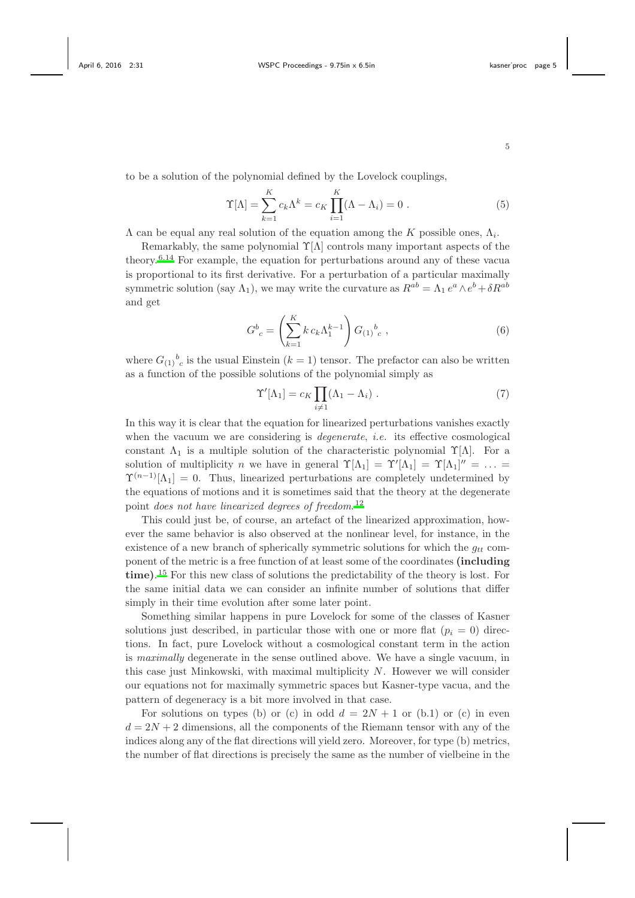to be a solution of the polynomial defined by the Lovelock couplings,

$$
\Upsilon[\Lambda] = \sum_{k=1}^{K} c_k \Lambda^k = c_K \prod_{i=1}^{K} (\Lambda - \Lambda_i) = 0.
$$
 (5)

 $\Lambda$  can be equal any real solution of the equation among the K possible ones,  $\Lambda_i$ .

Remarkably, the same polynomial  $\Upsilon[\Lambda]$  controls many important aspects of the theory.[6](#page-8-3)[,14](#page-8-8) For example, the equation for perturbations around any of these vacua is proportional to its first derivative. For a perturbation of a particular maximally symmetric solution (say  $\Lambda_1$ ), we may write the curvature as  $R^{ab} = \Lambda_1 e^a \wedge e^b + \delta R^{ab}$ and get

$$
G^{b}_{c} = \left(\sum_{k=1}^{K} k c_k \Lambda_1^{k-1}\right) G_{(1)}^{b}_{c} , \qquad (6)
$$

where  $G_{(1)}{}^b{}_c$  is the usual Einstein  $(k = 1)$  tensor. The prefactor can also be written as a function of the possible solutions of the polynomial simply as

$$
\Upsilon'[\Lambda_1] = c_K \prod_{i \neq 1} (\Lambda_1 - \Lambda_i) . \tag{7}
$$

In this way it is clear that the equation for linearized perturbations vanishes exactly when the vacuum we are considering is *degenerate*, *i.e.* its effective cosmological constant  $\Lambda_1$  is a multiple solution of the characteristic polynomial  $\Upsilon[\Lambda]$ . For a solution of multiplicity n we have in general  $\Upsilon[\Lambda_1] = \Upsilon'[\Lambda_1] = \Upsilon[\Lambda_1]'' = \ldots$  $\Upsilon^{(n-1)}[\Lambda_1] = 0$ . Thus, linearized perturbations are completely undetermined by the equations of motions and it is sometimes said that the theory at the degenerate point does not have linearized degrees of freedom.<sup>[12](#page-8-6)</sup>

This could just be, of course, an artefact of the linearized approximation, however the same behavior is also observed at the nonlinear level, for instance, in the existence of a new branch of spherically symmetric solutions for which the  $q_{tt}$  component of the metric is a free function of at least some of the coordinates (including time). [15](#page-8-9) For this new class of solutions the predictability of the theory is lost. For the same initial data we can consider an infinite number of solutions that differ simply in their time evolution after some later point.

Something similar happens in pure Lovelock for some of the classes of Kasner solutions just described, in particular those with one or more flat  $(p_i = 0)$  directions. In fact, pure Lovelock without a cosmological constant term in the action is maximally degenerate in the sense outlined above. We have a single vacuum, in this case just Minkowski, with maximal multiplicity  $N$ . However we will consider our equations not for maximally symmetric spaces but Kasner-type vacua, and the pattern of degeneracy is a bit more involved in that case.

For solutions on types (b) or (c) in odd  $d = 2N + 1$  or (b.1) or (c) in even  $d = 2N + 2$  dimensions, all the components of the Riemann tensor with any of the indices along any of the flat directions will yield zero. Moreover, for type (b) metrics, the number of flat directions is precisely the same as the number of vielbeine in the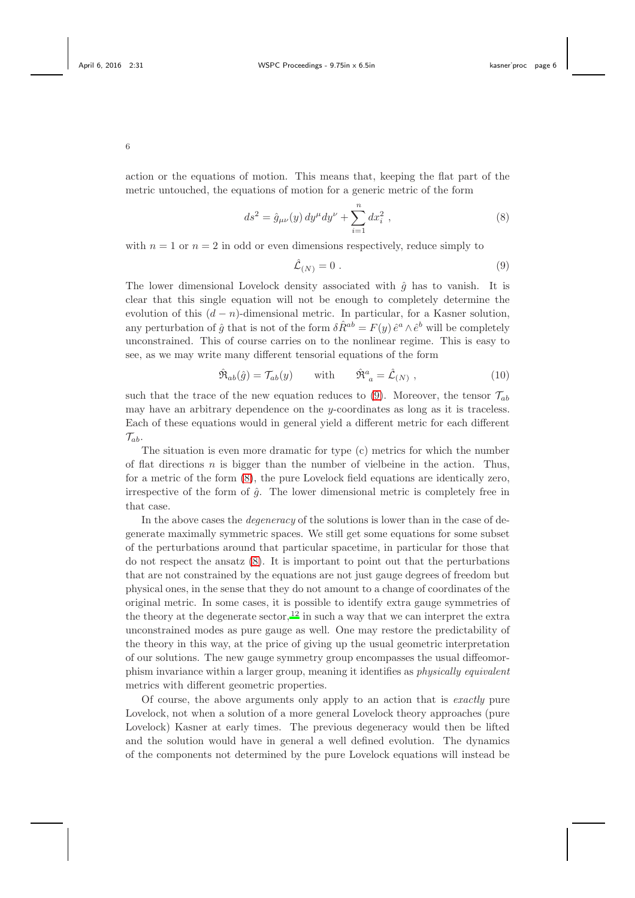action or the equations of motion. This means that, keeping the flat part of the metric untouched, the equations of motion for a generic metric of the form

<span id="page-5-1"></span>
$$
ds^{2} = \hat{g}_{\mu\nu}(y) dy^{\mu} dy^{\nu} + \sum_{i=1}^{n} dx_{i}^{2} , \qquad (8)
$$

with  $n = 1$  or  $n = 2$  in odd or even dimensions respectively, reduce simply to

<span id="page-5-0"></span>
$$
\hat{\mathcal{L}}_{(N)} = 0 \tag{9}
$$

The lower dimensional Lovelock density associated with  $\hat{g}$  has to vanish. It is clear that this single equation will not be enough to completely determine the evolution of this  $(d - n)$ -dimensional metric. In particular, for a Kasner solution, any perturbation of  $\hat{g}$  that is not of the form  $\delta \hat{R}^{ab} = F(y) \hat{e}^a \wedge \hat{e}^b$  will be completely unconstrained. This of course carries on to the nonlinear regime. This is easy to see, as we may write many different tensorial equations of the form

$$
\hat{\mathfrak{R}}_{ab}(\hat{g}) = \mathcal{T}_{ab}(y) \quad \text{with} \quad \hat{\mathfrak{R}}^a_{\ a} = \hat{\mathcal{L}}_{(N)} \,, \tag{10}
$$

such that the trace of the new equation reduces to [\(9\)](#page-5-0). Moreover, the tensor  $\mathcal{T}_{ab}$ may have an arbitrary dependence on the  $y$ -coordinates as long as it is traceless. Each of these equations would in general yield a different metric for each different  $\mathcal{T}_{ab}$ .

The situation is even more dramatic for type (c) metrics for which the number of flat directions  $n$  is bigger than the number of vielbeine in the action. Thus, for a metric of the form [\(8\)](#page-5-1), the pure Lovelock field equations are identically zero, irrespective of the form of  $\hat{g}$ . The lower dimensional metric is completely free in that case.

In the above cases the degeneracy of the solutions is lower than in the case of degenerate maximally symmetric spaces. We still get some equations for some subset of the perturbations around that particular spacetime, in particular for those that do not respect the ansatz [\(8\)](#page-5-1). It is important to point out that the perturbations that are not constrained by the equations are not just gauge degrees of freedom but physical ones, in the sense that they do not amount to a change of coordinates of the original metric. In some cases, it is possible to identify extra gauge symmetries of the theory at the degenerate sector,  $12$  in such a way that we can interpret the extra unconstrained modes as pure gauge as well. One may restore the predictability of the theory in this way, at the price of giving up the usual geometric interpretation of our solutions. The new gauge symmetry group encompasses the usual diffeomorphism invariance within a larger group, meaning it identifies as physically equivalent metrics with different geometric properties.

Of course, the above arguments only apply to an action that is exactly pure Lovelock, not when a solution of a more general Lovelock theory approaches (pure Lovelock) Kasner at early times. The previous degeneracy would then be lifted and the solution would have in general a well defined evolution. The dynamics of the components not determined by the pure Lovelock equations will instead be

6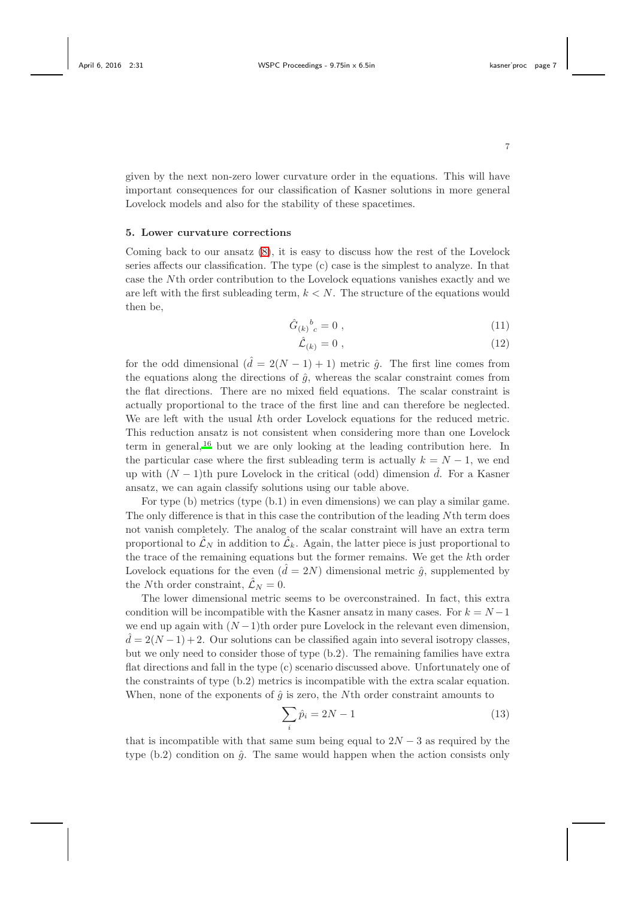given by the next non-zero lower curvature order in the equations. This will have important consequences for our classification of Kasner solutions in more general Lovelock models and also for the stability of these spacetimes.

#### 5. Lower curvature corrections

Coming back to our ansatz [\(8\)](#page-5-1), it is easy to discuss how the rest of the Lovelock series affects our classification. The type (c) case is the simplest to analyze. In that case the Nth order contribution to the Lovelock equations vanishes exactly and we are left with the first subleading term,  $k \leq N$ . The structure of the equations would then be,

$$
\hat{G}_{(k)}{}^{b}_{c} = 0 \tag{11}
$$

$$
\hat{\mathcal{L}}_{(k)} = 0 \tag{12}
$$

for the odd dimensional  $(\hat{d} = 2(N-1) + 1)$  metric  $\hat{g}$ . The first line comes from the equations along the directions of  $\hat{g}$ , whereas the scalar constraint comes from the flat directions. There are no mixed field equations. The scalar constraint is actually proportional to the trace of the first line and can therefore be neglected. We are left with the usual kth order Lovelock equations for the reduced metric. This reduction ansatz is not consistent when considering more than one Lovelock term in general,  $16$  but we are only looking at the leading contribution here. In the particular case where the first subleading term is actually  $k = N - 1$ , we end up with  $(N-1)$ th pure Lovelock in the critical (odd) dimension  $\hat{d}$ . For a Kasner ansatz, we can again classify solutions using our table above.

For type (b) metrics (type (b.1) in even dimensions) we can play a similar game. The only difference is that in this case the contribution of the leading Nth term does not vanish completely. The analog of the scalar constraint will have an extra term proportional to  $\mathcal{L}_N$  in addition to  $\mathcal{L}_k$ . Again, the latter piece is just proportional to the trace of the remaining equations but the former remains. We get the kth order Lovelock equations for the even  $(\hat{d} = 2N)$  dimensional metric  $\hat{q}$ , supplemented by the Nth order constraint,  $\mathcal{L}_N = 0$ .

The lower dimensional metric seems to be overconstrained. In fact, this extra condition will be incompatible with the Kasner ansatz in many cases. For  $k = N - 1$ we end up again with  $(N-1)$ th order pure Lovelock in the relevant even dimension,  $\overline{d} = 2(N-1) + 2$ . Our solutions can be classified again into several isotropy classes, but we only need to consider those of type (b.2). The remaining families have extra flat directions and fall in the type (c) scenario discussed above. Unfortunately one of the constraints of type (b.2) metrics is incompatible with the extra scalar equation. When, none of the exponents of  $\hat{q}$  is zero, the Nth order constraint amounts to

$$
\sum_{i} \hat{p}_i = 2N - 1 \tag{13}
$$

that is incompatible with that same sum being equal to  $2N-3$  as required by the type (b.2) condition on  $\hat{g}$ . The same would happen when the action consists only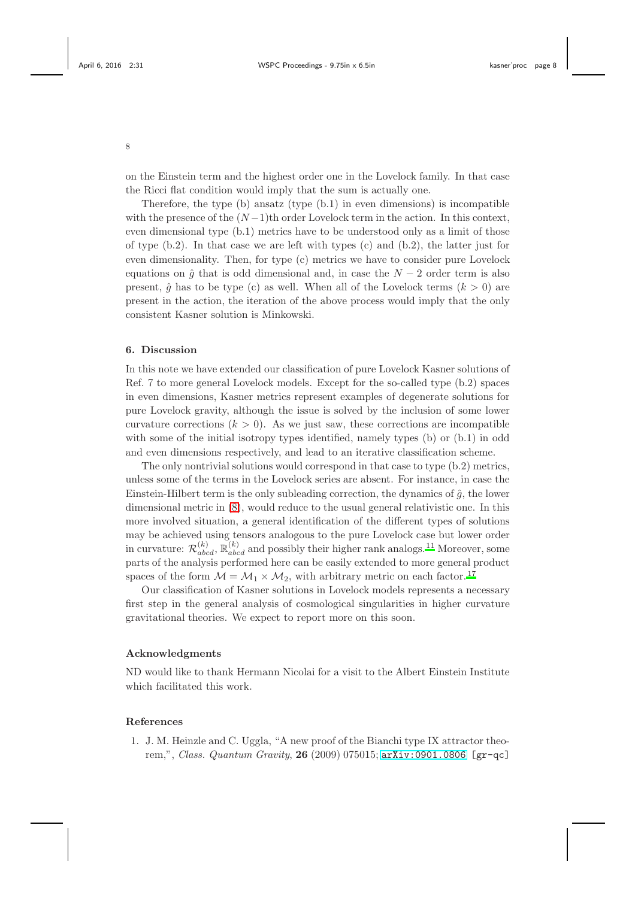on the Einstein term and the highest order one in the Lovelock family. In that case the Ricci flat condition would imply that the sum is actually one.

Therefore, the type (b) ansatz (type (b.1) in even dimensions) is incompatible with the presence of the  $(N-1)$ th order Lovelock term in the action. In this context, even dimensional type (b.1) metrics have to be understood only as a limit of those of type  $(b.2)$ . In that case we are left with types  $(c)$  and  $(b.2)$ , the latter just for even dimensionality. Then, for type (c) metrics we have to consider pure Lovelock equations on  $\hat{g}$  that is odd dimensional and, in case the  $N-2$  order term is also present,  $\hat{a}$  has to be type (c) as well. When all of the Lovelock terms  $(k > 0)$  are present in the action, the iteration of the above process would imply that the only consistent Kasner solution is Minkowski.

# 6. Discussion

In this note we have extended our classification of pure Lovelock Kasner solutions of Ref. 7 to more general Lovelock models. Except for the so-called type (b.2) spaces in even dimensions, Kasner metrics represent examples of degenerate solutions for pure Lovelock gravity, although the issue is solved by the inclusion of some lower curvature corrections  $(k > 0)$ . As we just saw, these corrections are incompatible with some of the initial isotropy types identified, namely types (b) or  $(b.1)$  in odd and even dimensions respectively, and lead to an iterative classification scheme.

The only nontrivial solutions would correspond in that case to type (b.2) metrics, unless some of the terms in the Lovelock series are absent. For instance, in case the Einstein-Hilbert term is the only subleading correction, the dynamics of  $\hat{q}$ , the lower dimensional metric in [\(8\)](#page-5-1), would reduce to the usual general relativistic one. In this more involved situation, a general identification of the different types of solutions may be achieved using tensors analogous to the pure Lovelock case but lower order in curvature:  $\mathcal{R}_{abcd}^{(k)}$ ,  $\mathbb{R}_{abcd}^{(k)}$  and possibly their higher rank analogs.<sup>[11](#page-8-11)</sup> Moreover, some parts of the analysis performed here can be easily extended to more general product spaces of the form  $M = M_1 \times M_2$ , with arbitrary metric on each factor.<sup>[17](#page-8-12)</sup>

Our classification of Kasner solutions in Lovelock models represents a necessary first step in the general analysis of cosmological singularities in higher curvature gravitational theories. We expect to report more on this soon.

# Acknowledgments

ND would like to thank Hermann Nicolai for a visit to the Albert Einstein Institute which facilitated this work.

## References

1. J. M. Heinzle and C. Uggla, "A new proof of the Bianchi type IX attractor theorem,", Class. Quantum Gravity, 26 (2009) 075015; [arXiv:0901.0806](http://arxiv.org/abs/0901.0806) [gr-qc]